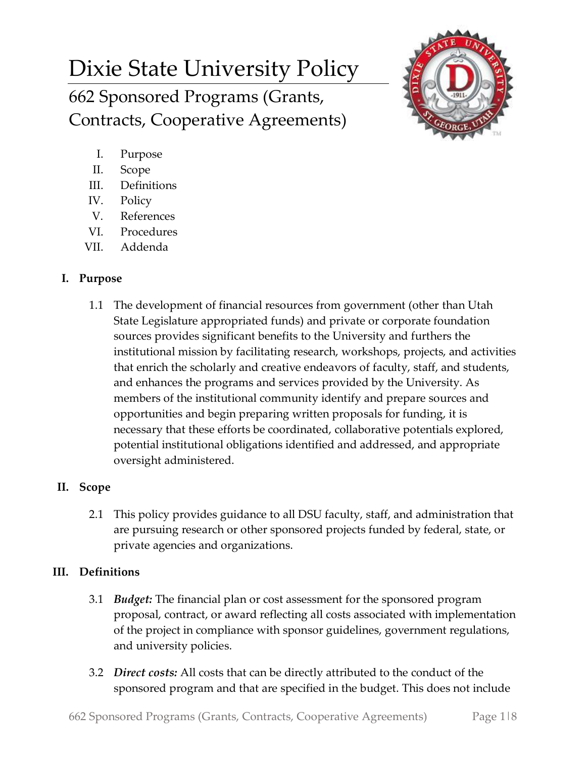# Dixie State University Policy 662 Sponsored Programs (Grants, Contracts, Cooperative Agreements)



- I. Purpose
- II. Scope
- III. Definitions
- IV. Policy
- V. References
- VI. Procedures
- VII. Addenda

# **I. Purpose**

1.1 The development of financial resources from government (other than Utah State Legislature appropriated funds) and private or corporate foundation sources provides significant benefits to the University and furthers the institutional mission by facilitating research, workshops, projects, and activities that enrich the scholarly and creative endeavors of faculty, staff, and students, and enhances the programs and services provided by the University. As members of the institutional community identify and prepare sources and opportunities and begin preparing written proposals for funding, it is necessary that these efforts be coordinated, collaborative potentials explored, potential institutional obligations identified and addressed, and appropriate oversight administered.

# **II. Scope**

2.1 This policy provides guidance to all DSU faculty, staff, and administration that are pursuing research or other sponsored projects funded by federal, state, or private agencies and organizations.

# **III. Definitions**

- 3.1 *Budget:* The financial plan or cost assessment for the sponsored program proposal, contract, or award reflecting all costs associated with implementation of the project in compliance with sponsor guidelines, government regulations, and university policies.
- 3.2 *Direct costs:* All costs that can be directly attributed to the conduct of the sponsored program and that are specified in the budget. This does not include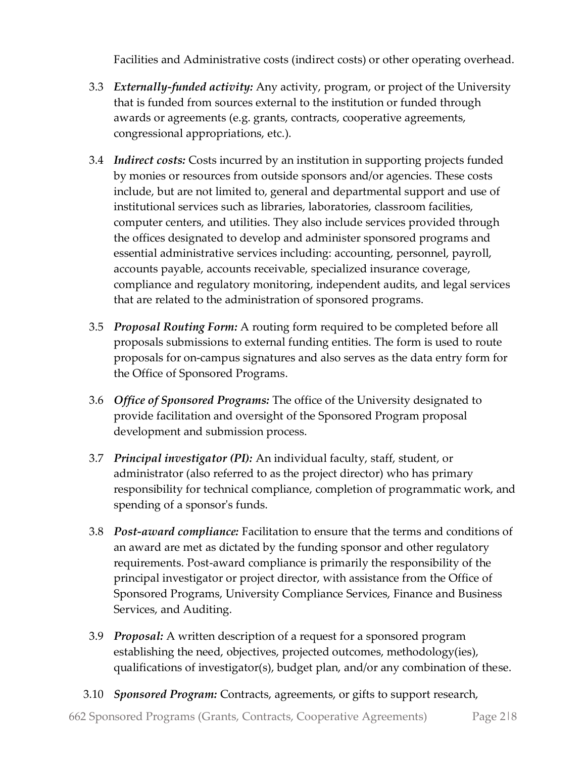Facilities and Administrative costs (indirect costs) or other operating overhead.

- 3.3 *Externally-funded activity:* Any activity, program, or project of the University that is funded from sources external to the institution or funded through awards or agreements (e.g. grants, contracts, cooperative agreements, congressional appropriations, etc.).
- 3.4 *Indirect costs:* Costs incurred by an institution in supporting projects funded by monies or resources from outside sponsors and/or agencies. These costs include, but are not limited to, general and departmental support and use of institutional services such as libraries, laboratories, classroom facilities, computer centers, and utilities. They also include services provided through the offices designated to develop and administer sponsored programs and essential administrative services including: accounting, personnel, payroll, accounts payable, accounts receivable, specialized insurance coverage, compliance and regulatory monitoring, independent audits, and legal services that are related to the administration of sponsored programs.
- 3.5 *Proposal Routing Form:* A routing form required to be completed before all proposals submissions to external funding entities. The form is used to route proposals for on-campus signatures and also serves as the data entry form for the Office of Sponsored Programs.
- 3.6 *Office of Sponsored Programs:* The office of the University designated to provide facilitation and oversight of the Sponsored Program proposal development and submission process.
- 3.7 *Principal investigator (PI):* An individual faculty, staff, student, or administrator (also referred to as the project director) who has primary responsibility for technical compliance, completion of programmatic work, and spending of a sponsor's funds.
- 3.8 *Post-award compliance:* Facilitation to ensure that the terms and conditions of an award are met as dictated by the funding sponsor and other regulatory requirements. Post-award compliance is primarily the responsibility of the principal investigator or project director, with assistance from the Office of Sponsored Programs, University Compliance Services, Finance and Business Services, and Auditing.
- 3.9 *Proposal:* A written description of a request for a sponsored program establishing the need, objectives, projected outcomes, methodology(ies), qualifications of investigator(s), budget plan, and/or any combination of these.
- 3.10 *Sponsored Program:* Contracts, agreements, or gifts to support research,

662 Sponsored Programs (Grants, Contracts, Cooperative Agreements) Page 2|8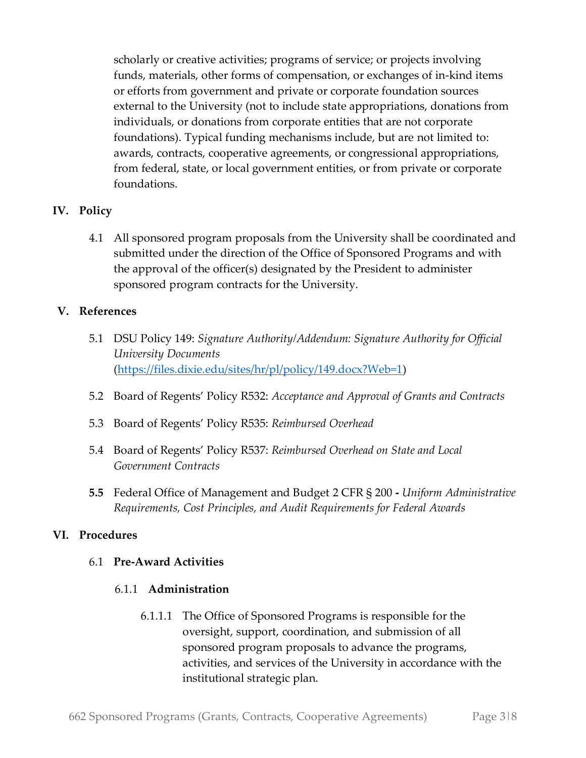scholarly or creative activities; programs of service; or projects involving funds, materials, other forms of compensation, or exchanges of in-kind items or efforts from government and private or corporate foundation sources external to the University (not to include state appropriations, donations from individuals, or donations from corporate entities that are not corporate foundations). Typical funding mechanisms include, but are not limited to: awards, contracts, cooperative agreements, or congressional appropriations, from federal, state, or local government entities, or from private or corporate foundations.

# **IV. Policy**

4.1 All sponsored program proposals from the University shall be coordinated and submitted under the direction of the Office of Sponsored Programs and with the approval of the officer(s) designated by the President to administer sponsored program contracts for the University.

# **V. References**

- 5.1 DSU Policy 149: *Signature Authority/Addendum: Signature Authority for Official University Documents* [\(https://files.dixie.edu/sites/hr/pl/policy/149.docx?Web=1\)](https://files.dixie.edu/sites/hr/pl/policy/149.docx?Web=1)
- 5.2 Board of Regents' Policy R532: *Acceptance and Approval of Grants and Contracts*
- 5.3 Board of Regents' Policy R535: *Reimbursed Overhead*
- 5.4 Board of Regents' Policy R537: *Reimbursed Overhead on State and Local Government Contracts*
- **5.5** Federal Office of Management and Budget 2 CFR § 200 **-** *Uniform Administrative Requirements, Cost Principles, and Audit Requirements for Federal Awards*

#### **VI. Procedures**

#### 6.1 **Pre-Award Activities**

#### 6.1.1 **Administration**

6.1.1.1 The Office of Sponsored Programs is responsible for the oversight, support, coordination, and submission of all sponsored program proposals to advance the programs, activities, and services of the University in accordance with the institutional strategic plan.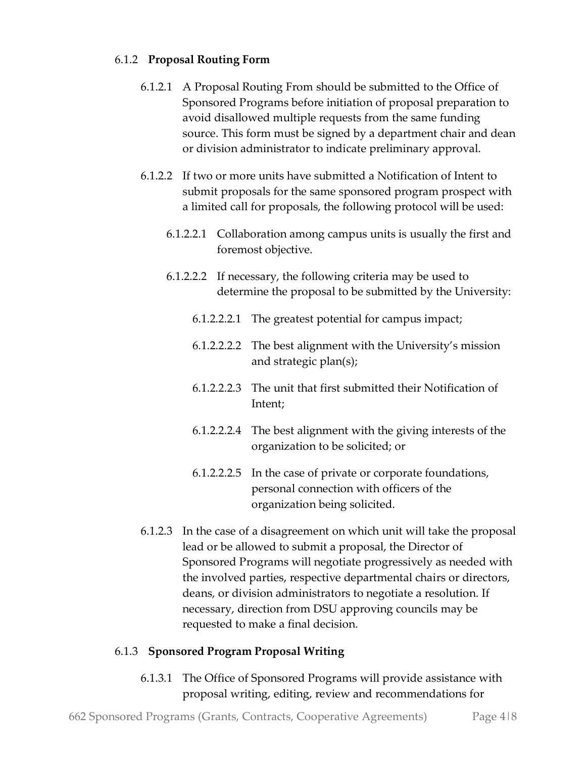# 6.1.2 **Proposal Routing Form**

- 6.1.2.1 A Proposal Routing From should be submitted to the Office of Sponsored Programs before initiation of proposal preparation to avoid disallowed multiple requests from the same funding source. This form must be signed by a department chair and dean or division administrator to indicate preliminary approval.
- 6.1.2.2 If two or more units have submitted a Notification of Intent to submit proposals for the same sponsored program prospect with a limited call for proposals, the following protocol will be used:
	- 6.1.2.2.1 Collaboration among campus units is usually the first and foremost objective.
	- 6.1.2.2.2 If necessary, the following criteria may be used to determine the proposal to be submitted by the University:
		- 6.1.2.2.2.1 The greatest potential for campus impact;
		- 6.1.2.2.2.2 The best alignment with the University's mission and strategic plan(s);
		- 6.1.2.2.2.3 The unit that first submitted their Notification of Intent;
		- 6.1.2.2.2.4 The best alignment with the giving interests of the organization to be solicited; or
		- 6.1.2.2.2.5 In the case of private or corporate foundations, personal connection with officers of the organization being solicited.
- 6.1.2.3 In the case of a disagreement on which unit will take the proposal lead or be allowed to submit a proposal, the Director of Sponsored Programs will negotiate progressively as needed with the involved parties, respective departmental chairs or directors, deans, or division administrators to negotiate a resolution. If necessary, direction from DSU approving councils may be requested to make a final decision.

# 6.1.3 **Sponsored Program Proposal Writing**

6.1.3.1 The Office of Sponsored Programs will provide assistance with proposal writing, editing, review and recommendations for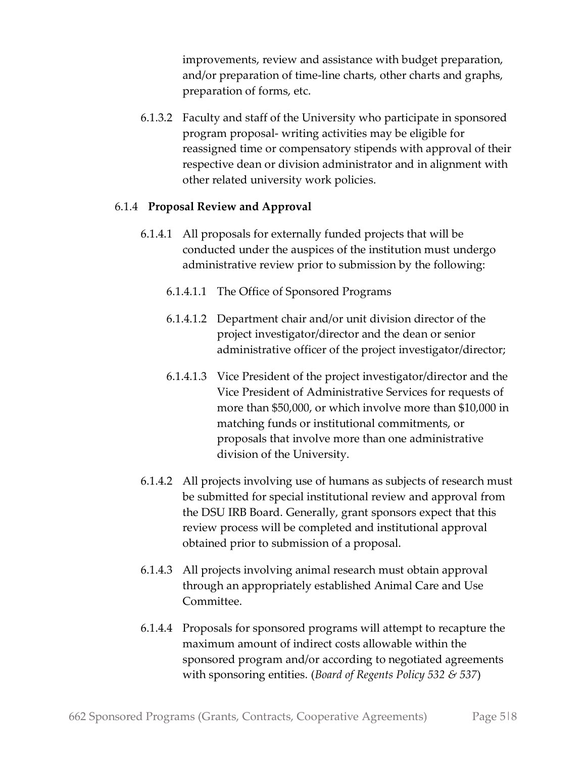improvements, review and assistance with budget preparation, and/or preparation of time-line charts, other charts and graphs, preparation of forms, etc.

6.1.3.2 Faculty and staff of the University who participate in sponsored program proposal- writing activities may be eligible for reassigned time or compensatory stipends with approval of their respective dean or division administrator and in alignment with other related university work policies.

# 6.1.4 **Proposal Review and Approval**

- 6.1.4.1 All proposals for externally funded projects that will be conducted under the auspices of the institution must undergo administrative review prior to submission by the following:
	- 6.1.4.1.1 The Office of Sponsored Programs
	- 6.1.4.1.2 Department chair and/or unit division director of the project investigator/director and the dean or senior administrative officer of the project investigator/director;
	- 6.1.4.1.3 Vice President of the project investigator/director and the Vice President of Administrative Services for requests of more than \$50,000, or which involve more than \$10,000 in matching funds or institutional commitments, or proposals that involve more than one administrative division of the University.
- 6.1.4.2 All projects involving use of humans as subjects of research must be submitted for special institutional review and approval from the DSU IRB Board. Generally, grant sponsors expect that this review process will be completed and institutional approval obtained prior to submission of a proposal.
- 6.1.4.3 All projects involving animal research must obtain approval through an appropriately established Animal Care and Use Committee.
- 6.1.4.4 Proposals for sponsored programs will attempt to recapture the maximum amount of indirect costs allowable within the sponsored program and/or according to negotiated agreements with sponsoring entities. (*Board of Regents Policy 532 & 537*)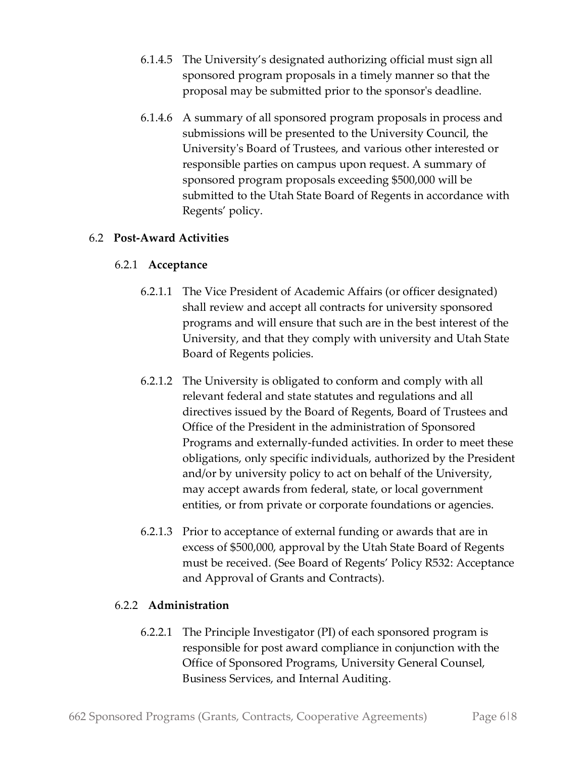- 6.1.4.5 The University's designated authorizing official must sign all sponsored program proposals in a timely manner so that the proposal may be submitted prior to the sponsor's deadline.
- 6.1.4.6 A summary of all sponsored program proposals in process and submissions will be presented to the University Council, the University's Board of Trustees, and various other interested or responsible parties on campus upon request. A summary of sponsored program proposals exceeding \$500,000 will be submitted to the Utah State Board of Regents in accordance with Regents' policy.

# 6.2 **Post-Award Activities**

# 6.2.1 **Acceptance**

- 6.2.1.1 The Vice President of Academic Affairs (or officer designated) shall review and accept all contracts for university sponsored programs and will ensure that such are in the best interest of the University, and that they comply with university and Utah State Board of Regents policies.
- 6.2.1.2 The University is obligated to conform and comply with all relevant federal and state statutes and regulations and all directives issued by the Board of Regents, Board of Trustees and Office of the President in the administration of Sponsored Programs and externally-funded activities. In order to meet these obligations, only specific individuals, authorized by the President and/or by university policy to act on behalf of the University, may accept awards from federal, state, or local government entities, or from private or corporate foundations or agencies.
- 6.2.1.3 Prior to acceptance of external funding or awards that are in excess of \$500,000, approval by the Utah State Board of Regents must be received. (See Board of Regents' Policy R532: Acceptance and Approval of Grants and Contracts).

# 6.2.2 **Administration**

6.2.2.1 The Principle Investigator (PI) of each sponsored program is responsible for post award compliance in conjunction with the Office of Sponsored Programs, University General Counsel, Business Services, and Internal Auditing.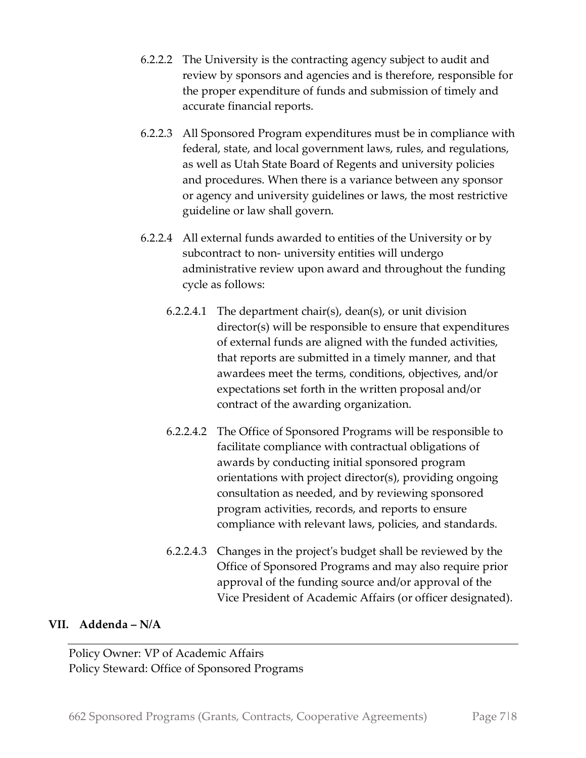- 6.2.2.2 The University is the contracting agency subject to audit and review by sponsors and agencies and is therefore, responsible for the proper expenditure of funds and submission of timely and accurate financial reports.
- 6.2.2.3 All Sponsored Program expenditures must be in compliance with federal, state, and local government laws, rules, and regulations, as well as Utah State Board of Regents and university policies and procedures. When there is a variance between any sponsor or agency and university guidelines or laws, the most restrictive guideline or law shall govern.
- 6.2.2.4 All external funds awarded to entities of the University or by subcontract to non- university entities will undergo administrative review upon award and throughout the funding cycle as follows:
	- 6.2.2.4.1 The department chair(s), dean(s), or unit division director(s) will be responsible to ensure that expenditures of external funds are aligned with the funded activities, that reports are submitted in a timely manner, and that awardees meet the terms, conditions, objectives, and/or expectations set forth in the written proposal and/or contract of the awarding organization.
	- 6.2.2.4.2 The Office of Sponsored Programs will be responsible to facilitate compliance with contractual obligations of awards by conducting initial sponsored program orientations with project director(s), providing ongoing consultation as needed, and by reviewing sponsored program activities, records, and reports to ensure compliance with relevant laws, policies, and standards.
	- 6.2.2.4.3 Changes in the project's budget shall be reviewed by the Office of Sponsored Programs and may also require prior approval of the funding source and/or approval of the Vice President of Academic Affairs (or officer designated).

#### **VII. Addenda – N/A**

Policy Owner: VP of Academic Affairs Policy Steward: Office of Sponsored Programs